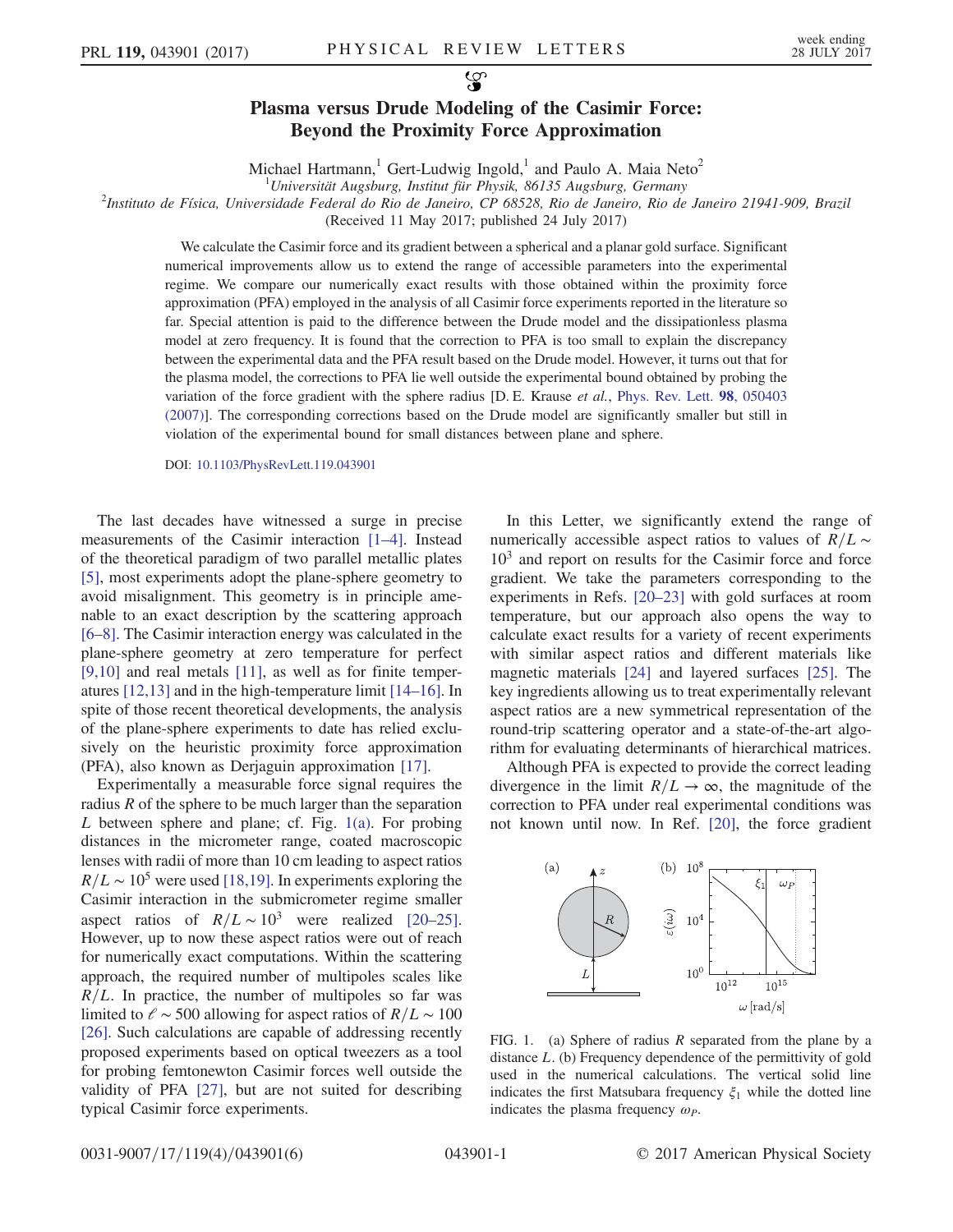## Plasma versus Drude Modeling of the Casimir Force: Beyond the Proximity Force Approximation

Michael Hartmann,<sup>1</sup> Gert-Ludwig Ingold,<sup>1</sup> and Paulo A. Maia Neto<sup>2</sup>

<sup>1</sup>Universität Augsburg, Institut für Physik, 86135 Augsburg, Germany<br><sup>2</sup>Institute de Física, Universidade Federal de Pie de Janeire, CB 68528, Pie de Janeire, Pie de

 $^{2}$ Instituto de Física, Universidade Federal do Rio de Janeiro, CP 68528, Rio de Janeiro, Rio de Janeiro 21941-909, Brazil

(Received 11 May 2017; published 24 July 2017)

We calculate the Casimir force and its gradient between a spherical and a planar gold surface. Significant numerical improvements allow us to extend the range of accessible parameters into the experimental regime. We compare our numerically exact results with those obtained within the proximity force approximation (PFA) employed in the analysis of all Casimir force experiments reported in the literature so far. Special attention is paid to the difference between the Drude model and the dissipationless plasma model at zero frequency. It is found that the correction to PFA is too small to explain the discrepancy between the experimental data and the PFA result based on the Drude model. However, it turns out that for the plasma model, the corrections to PFA lie well outside the experimental bound obtained by probing the variation of the force gradient with the sphere radius [D. E. Krause et al., [Phys. Rev. Lett.](https://doi.org/10.1103/PhysRevLett.98.050403) 98, 050403 [\(2007\)](https://doi.org/10.1103/PhysRevLett.98.050403)]. The corresponding corrections based on the Drude model are significantly smaller but still in violation of the experimental bound for small distances between plane and sphere.

DOI: [10.1103/PhysRevLett.119.043901](https://doi.org/10.1103/PhysRevLett.119.043901)

The last decades have witnessed a surge in precise measurements of the Casimir interaction [1–[4\]](#page-4-0). Instead of the theoretical paradigm of two parallel metallic plates [\[5\]](#page-4-1), most experiments adopt the plane-sphere geometry to avoid misalignment. This geometry is in principle amenable to an exact description by the scattering approach [\[6](#page-4-2)–8]. The Casimir interaction energy was calculated in the plane-sphere geometry at zero temperature for perfect [\[9,10\]](#page-4-3) and real metals [\[11\],](#page-4-4) as well as for finite temperatures [\[12,13\]](#page-4-5) and in the high-temperature limit [\[14](#page-4-6)–16]. In spite of those recent theoretical developments, the analysis of the plane-sphere experiments to date has relied exclusively on the heuristic proximity force approximation (PFA), also known as Derjaguin approximation [\[17\].](#page-4-7)

Experimentally a measurable force signal requires the radius  $R$  of the sphere to be much larger than the separation  $L$  between sphere and plane; cf. Fig. [1\(a\)](#page-0-0). For probing distances in the micrometer range, coated macroscopic lenses with radii of more than 10 cm leading to aspect ratios  $R/L \sim 10^5$  were used [\[18,19\].](#page-4-8) In experiments exploring the Casimir interaction in the submicrometer regime smaller aspect ratios of  $R/L \sim 10^3$  were realized [\[20](#page-4-9)–25]. However, up to now these aspect ratios were out of reach for numerically exact computations. Within the scattering approach, the required number of multipoles scales like  $R/L$ . In practice, the number of multipoles so far was limited to  $\ell \sim 500$  allowing for aspect ratios of  $R/L \sim 100$ [\[26\]](#page-4-10). Such calculations are capable of addressing recently proposed experiments based on optical tweezers as a tool for probing femtonewton Casimir forces well outside the validity of PFA [\[27\],](#page-4-11) but are not suited for describing typical Casimir force experiments.

In this Letter, we significantly extend the range of numerically accessible aspect ratios to values of  $R/L \sim$  $10<sup>3</sup>$  and report on results for the Casimir force and force gradient. We take the parameters corresponding to the experiments in Refs. [\[20](#page-4-9)–23] with gold surfaces at room temperature, but our approach also opens the way to calculate exact results for a variety of recent experiments with similar aspect ratios and different materials like magnetic materials [\[24\]](#page-4-12) and layered surfaces [\[25\]](#page-4-13). The key ingredients allowing us to treat experimentally relevant aspect ratios are a new symmetrical representation of the round-trip scattering operator and a state-of-the-art algorithm for evaluating determinants of hierarchical matrices.

Although PFA is expected to provide the correct leading divergence in the limit  $R/L \rightarrow \infty$ , the magnitude of the correction to PFA under real experimental conditions was not known until now. In Ref. [\[20\],](#page-4-9) the force gradient

<span id="page-0-0"></span>

FIG. 1. (a) Sphere of radius  $R$  separated from the plane by a distance L. (b) Frequency dependence of the permittivity of gold used in the numerical calculations. The vertical solid line indicates the first Matsubara frequency  $\xi_1$  while the dotted line indicates the plasma frequency  $\omega_p$ .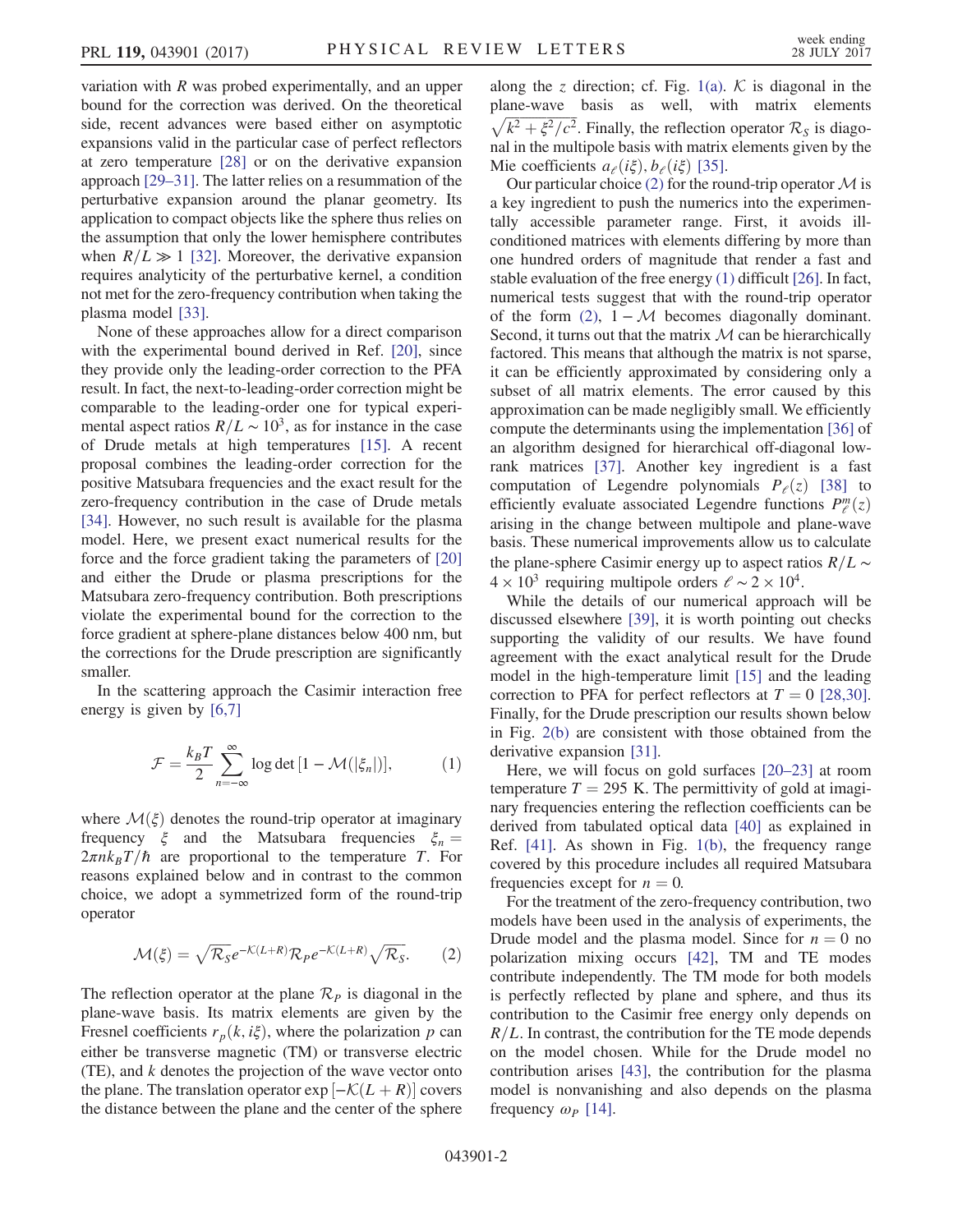variation with  $R$  was probed experimentally, and an upper bound for the correction was derived. On the theoretical side, recent advances were based either on asymptotic expansions valid in the particular case of perfect reflectors at zero temperature [\[28\]](#page-4-14) or on the derivative expansion approach [29–[31\]](#page-4-15). The latter relies on a resummation of the perturbative expansion around the planar geometry. Its application to compact objects like the sphere thus relies on the assumption that only the lower hemisphere contributes when  $R/L \gg 1$  [\[32\].](#page-4-16) Moreover, the derivative expansion requires analyticity of the perturbative kernel, a condition not met for the zero-frequency contribution when taking the plasma model [\[33\].](#page-4-17)

None of these approaches allow for a direct comparison with the experimental bound derived in Ref. [\[20\],](#page-4-9) since they provide only the leading-order correction to the PFA result. In fact, the next-to-leading-order correction might be comparable to the leading-order one for typical experimental aspect ratios  $R/L \sim 10^3$ , as for instance in the case of Drude metals at high temperatures [\[15\].](#page-4-18) A recent proposal combines the leading-order correction for the positive Matsubara frequencies and the exact result for the zero-frequency contribution in the case of Drude metals [\[34\]](#page-4-19). However, no such result is available for the plasma model. Here, we present exact numerical results for the force and the force gradient taking the parameters of [\[20\]](#page-4-9) and either the Drude or plasma prescriptions for the Matsubara zero-frequency contribution. Both prescriptions violate the experimental bound for the correction to the force gradient at sphere-plane distances below 400 nm, but the corrections for the Drude prescription are significantly smaller.

<span id="page-1-1"></span>In the scattering approach the Casimir interaction free energy is given by [\[6,7\]](#page-4-2)

$$
\mathcal{F} = \frac{k_B T}{2} \sum_{n = -\infty}^{\infty} \log \det \left[ 1 - \mathcal{M}(|\xi_n|) \right],\tag{1}
$$

where  $\mathcal{M}(\xi)$  denotes the round-trip operator at imaginary frequency  $\xi$  and the Matsubara frequencies  $\xi_n =$  $2\pi n k_B T/\hbar$  are proportional to the temperature T. For reasons explained below and in contrast to the common choice, we adopt a symmetrized form of the round-trip operator

<span id="page-1-0"></span>
$$
\mathcal{M}(\xi) = \sqrt{\mathcal{R}_s} e^{-\mathcal{K}(L+R)} \mathcal{R}_P e^{-\mathcal{K}(L+R)} \sqrt{\mathcal{R}_s}.
$$
 (2)

The reflection operator at the plane  $\mathcal{R}_P$  is diagonal in the plane-wave basis. Its matrix elements are given by the Fresnel coefficients  $r_p(k, i\xi)$ , where the polarization p can either be transverse magnetic (TM) or transverse electric  $(TE)$ , and  $k$  denotes the projection of the wave vector onto the plane. The translation operator  $\exp\left[-\mathcal{K}(L+R)\right]$  covers the distance between the plane and the center of the sphere along the z direction; cf. Fig. [1\(a\)](#page-0-0).  $K$  is diagonal in the plane-wave basis as well, with matrix elements  $\sqrt{k^2 + \xi^2/c^2}$ . Finally, the reflection operator  $\mathcal{R}_S$  is diagonal in the multipole basis with matrix elements given by the Mie coefficients  $a_{\ell}(i\xi), b_{\ell}(i\xi)$  [\[35\]](#page-4-20).

Our particular choice [\(2\)](#page-1-0) for the round-trip operator  $\mathcal M$  is a key ingredient to push the numerics into the experimentally accessible parameter range. First, it avoids illconditioned matrices with elements differing by more than one hundred orders of magnitude that render a fast and stable evaluation of the free energy [\(1\)](#page-1-1) difficult [\[26\].](#page-4-10) In fact, numerical tests suggest that with the round-trip operator of the form [\(2\)](#page-1-0),  $1 - M$  becomes diagonally dominant. Second, it turns out that the matrix  $M$  can be hierarchically factored. This means that although the matrix is not sparse, it can be efficiently approximated by considering only a subset of all matrix elements. The error caused by this approximation can be made negligibly small. We efficiently compute the determinants using the implementation [\[36\]](#page-4-21) of an algorithm designed for hierarchical off-diagonal lowrank matrices [\[37\]](#page-5-0). Another key ingredient is a fast computation of Legendre polynomials  $P_{\ell}(z)$  [\[38\]](#page-5-1) to efficiently evaluate associated Legendre functions  $P_{\ell}^{m}(z)$ arising in the change between multipole and plane-wave basis. These numerical improvements allow us to calculate the plane-sphere Casimir energy up to aspect ratios  $R/L \sim$  $4 \times 10^3$  requiring multipole orders  $\ell \sim 2 \times 10^4$ .

While the details of our numerical approach will be discussed elsewhere [\[39\]](#page-5-2), it is worth pointing out checks supporting the validity of our results. We have found agreement with the exact analytical result for the Drude model in the high-temperature limit [\[15\]](#page-4-18) and the leading correction to PFA for perfect reflectors at  $T = 0$  [\[28,30\]](#page-4-14). Finally, for the Drude prescription our results shown below in Fig. [2\(b\)](#page-2-0) are consistent with those obtained from the derivative expansion [\[31\]](#page-4-22).

Here, we will focus on gold surfaces [20–[23\]](#page-4-9) at room temperature  $T = 295$  K. The permittivity of gold at imaginary frequencies entering the reflection coefficients can be derived from tabulated optical data [\[40\]](#page-5-3) as explained in Ref. [\[41\]](#page-5-4). As shown in Fig. [1\(b\),](#page-0-0) the frequency range covered by this procedure includes all required Matsubara frequencies except for  $n = 0$ .

For the treatment of the zero-frequency contribution, two models have been used in the analysis of experiments, the Drude model and the plasma model. Since for  $n = 0$  no polarization mixing occurs [\[42\]](#page-5-5), TM and TE modes contribute independently. The TM mode for both models is perfectly reflected by plane and sphere, and thus its contribution to the Casimir free energy only depends on  $R/L$ . In contrast, the contribution for the TE mode depends on the model chosen. While for the Drude model no contribution arises [\[43\]](#page-5-6), the contribution for the plasma model is nonvanishing and also depends on the plasma frequency  $\omega_P$  [\[14\]](#page-4-6).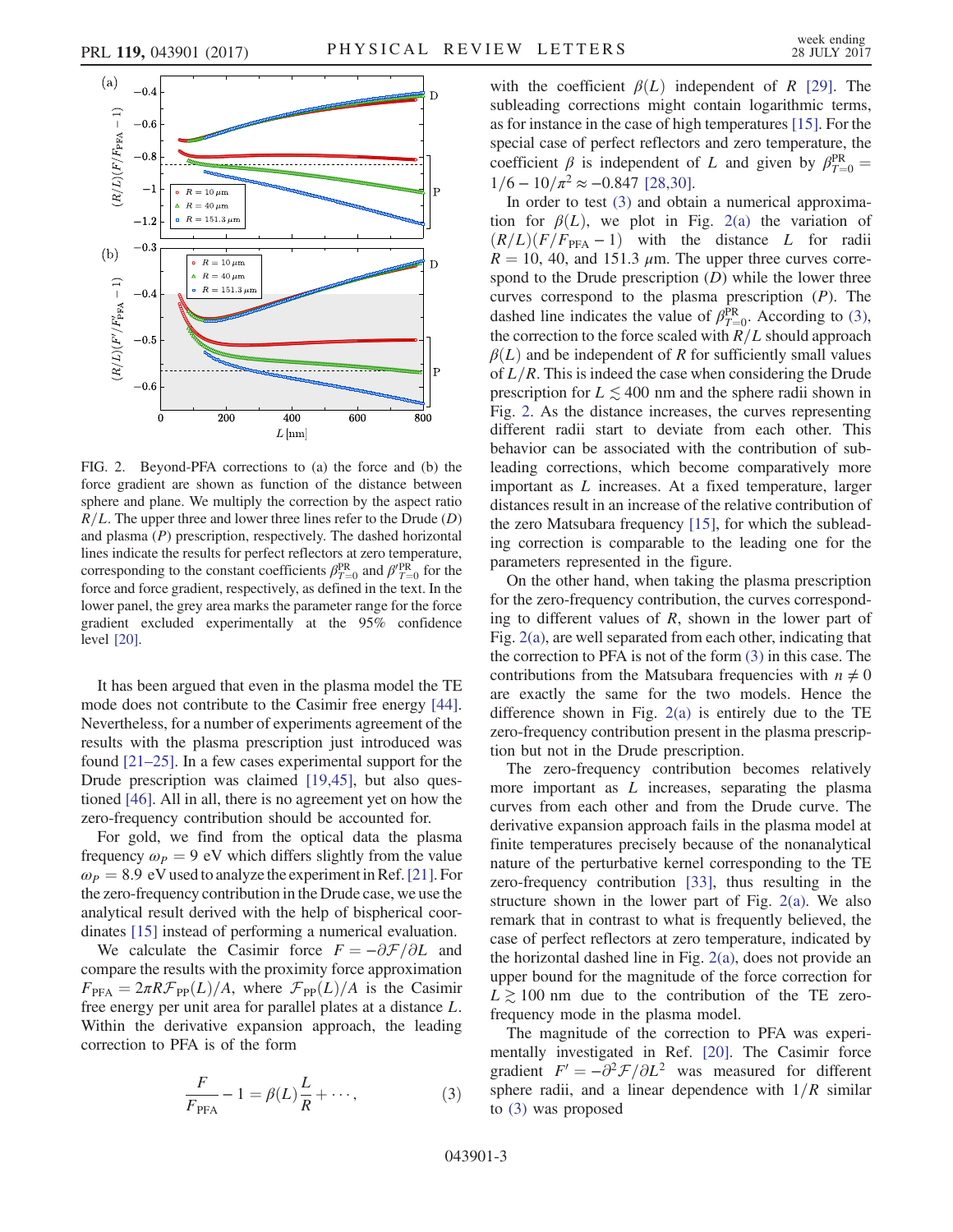<span id="page-2-0"></span>

FIG. 2. Beyond-PFA corrections to (a) the force and (b) the force gradient are shown as function of the distance between sphere and plane. We multiply the correction by the aspect ratio  $R/L$ . The upper three and lower three lines refer to the Drude (D) and plasma (P) prescription, respectively. The dashed horizontal lines indicate the results for perfect reflectors at zero temperature, corresponding to the constant coefficients  $\beta_{T=0}^{\text{PR}}$  and  $\beta_{T=0}^{\text{PR}}$  for the force and force gradient, respectively, as defined in the text. In the lower panel, the grey area marks the parameter range for the force gradient excluded experimentally at the 95% confidence level [\[20\].](#page-4-9)

It has been argued that even in the plasma model the TE mode does not contribute to the Casimir free energy [\[44\]](#page-5-7). Nevertheless, for a number of experiments agreement of the results with the plasma prescription just introduced was found [\[21](#page-4-23)–25]. In a few cases experimental support for the Drude prescription was claimed [\[19,45\],](#page-4-24) but also questioned [\[46\].](#page-5-8) All in all, there is no agreement yet on how the zero-frequency contribution should be accounted for.

For gold, we find from the optical data the plasma frequency  $\omega_P = 9$  eV which differs slightly from the value  $\omega_P = 8.9 \text{ eV}$  used to analyze the experiment in Ref. [\[21\].](#page-4-23) For the zero-frequency contribution in the Drude case, we use the analytical result derived with the help of bispherical coordinates [\[15\]](#page-4-18) instead of performing a numerical evaluation.

<span id="page-2-1"></span>We calculate the Casimir force  $F = -\partial \mathcal{F}/\partial L$  and compare the results with the proximity force approximation  $F_{\text{PFA}} = 2\pi R \mathcal{F}_{\text{PP}}(L)/A$ , where  $\mathcal{F}_{\text{PP}}(L)/A$  is the Casimir free energy per unit area for parallel plates at a distance L. Within the derivative expansion approach, the leading correction to PFA is of the form

$$
\frac{F}{F_{\text{PFA}}} - 1 = \beta(L)\frac{L}{R} + \cdots,\tag{3}
$$

with the coefficient  $\beta(L)$  independent of R [\[29\]](#page-4-15). The subleading corrections might contain logarithmic terms, as for instance in the case of high temperatures [\[15\].](#page-4-18) For the special case of perfect reflectors and zero temperature, the coefficient  $\beta$  is independent of L and given by  $\beta_{T=0}^{\text{PR}}$  $1/6 - 10/\pi^2 \approx -0.847$  [\[28,30\].](#page-4-14)

In order to test [\(3\)](#page-2-1) and obtain a numerical approximation for  $\beta(L)$ , we plot in Fig. [2\(a\)](#page-2-0) the variation of  $(R/L)(F/F<sub>PFA</sub> - 1)$  with the distance L for radii  $R = 10, 40,$  and 151.3  $\mu$ m. The upper three curves correspond to the Drude prescription  $(D)$  while the lower three curves correspond to the plasma prescription  $(P)$ . The dashed line indicates the value of  $\beta_{T=0}^{\text{PR}}$ . According to [\(3\)](#page-2-1), the correction to the force scaled with  $R/L$  should approach  $\beta(L)$  and be independent of R for sufficiently small values of  $L/R$ . This is indeed the case when considering the Drude prescription for  $L \lesssim 400$  nm and the sphere radii shown in Fig. [2.](#page-2-0) As the distance increases, the curves representing different radii start to deviate from each other. This behavior can be associated with the contribution of subleading corrections, which become comparatively more important as L increases. At a fixed temperature, larger distances result in an increase of the relative contribution of the zero Matsubara frequency [\[15\]](#page-4-18), for which the subleading correction is comparable to the leading one for the parameters represented in the figure.

On the other hand, when taking the plasma prescription for the zero-frequency contribution, the curves corresponding to different values of  $R$ , shown in the lower part of Fig. [2\(a\)](#page-2-0), are well separated from each other, indicating that the correction to PFA is not of the form [\(3\)](#page-2-1) in this case. The contributions from the Matsubara frequencies with  $n \neq 0$ are exactly the same for the two models. Hence the difference shown in Fig.  $2(a)$  is entirely due to the TE zero-frequency contribution present in the plasma prescription but not in the Drude prescription.

The zero-frequency contribution becomes relatively more important as  $L$  increases, separating the plasma curves from each other and from the Drude curve. The derivative expansion approach fails in the plasma model at finite temperatures precisely because of the nonanalytical nature of the perturbative kernel corresponding to the TE zero-frequency contribution [\[33\],](#page-4-17) thus resulting in the structure shown in the lower part of Fig. [2\(a\).](#page-2-0) We also remark that in contrast to what is frequently believed, the case of perfect reflectors at zero temperature, indicated by the horizontal dashed line in Fig. [2\(a\)](#page-2-0), does not provide an upper bound for the magnitude of the force correction for  $L \ge 100$  nm due to the contribution of the TE zerofrequency mode in the plasma model.

The magnitude of the correction to PFA was experimentally investigated in Ref. [\[20\].](#page-4-9) The Casimir force gradient  $F' = -\partial^2 \mathcal{F}/\partial L^2$  was measured for different sphere radii, and a linear dependence with  $1/R$  similar to [\(3\)](#page-2-1) was proposed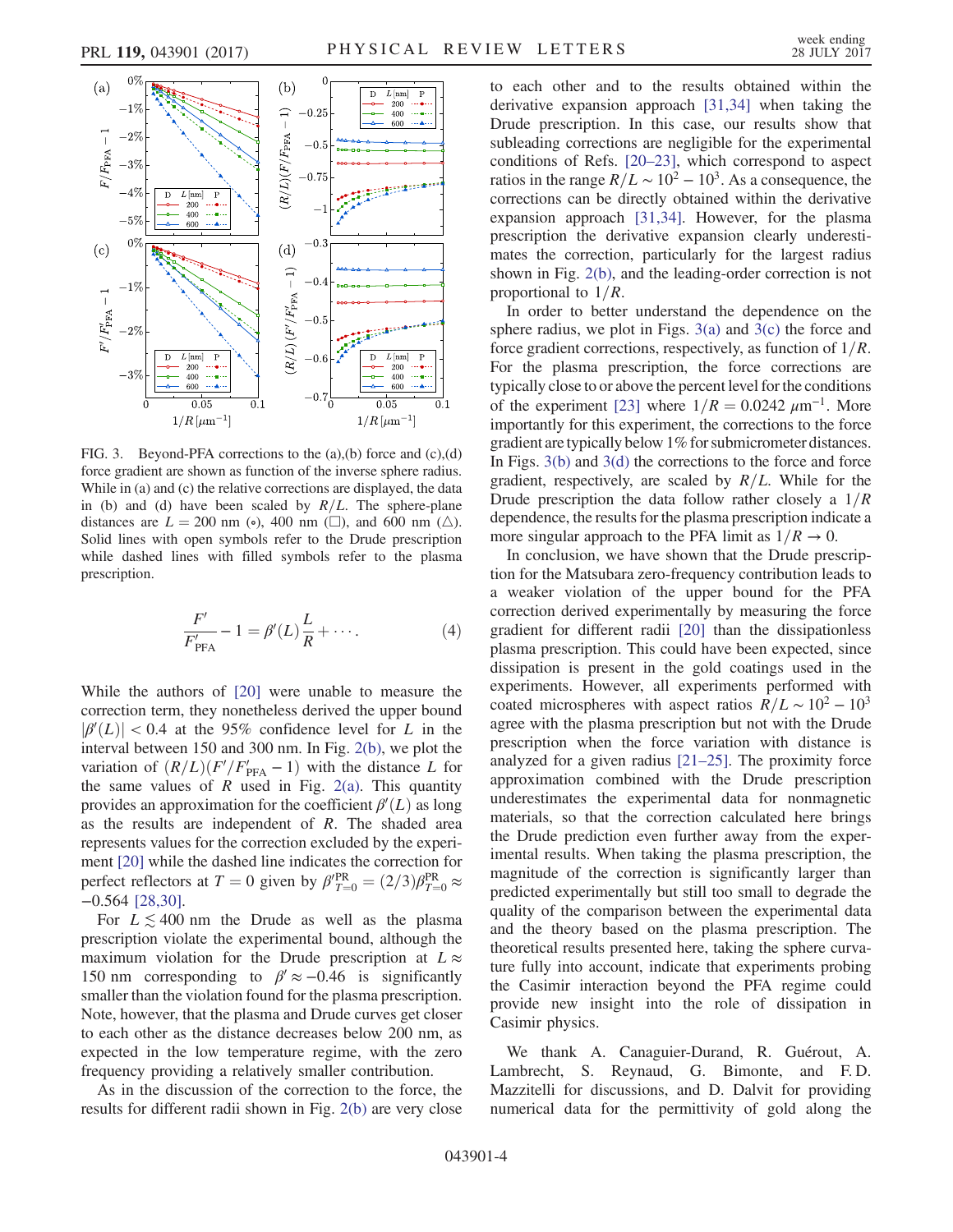<span id="page-3-0"></span>

FIG. 3. Beyond-PFA corrections to the (a),(b) force and (c),(d) force gradient are shown as function of the inverse sphere radius. While in (a) and (c) the relative corrections are displayed, the data in (b) and (d) have been scaled by  $R/L$ . The sphere-plane distances are  $L = 200$  nm (•), 400 nm (□), and 600 nm ( $\triangle$ ). Solid lines with open symbols refer to the Drude prescription while dashed lines with filled symbols refer to the plasma prescription.

$$
\frac{F'}{F'_{\text{PFA}}} - 1 = \beta'(L)\frac{L}{R} + \cdots.
$$
 (4)

While the authors of [\[20\]](#page-4-9) were unable to measure the correction term, they nonetheless derived the upper bound  $|\beta'(L)| < 0.4$  at the 95% confidence level for L in the interval between 150 and 300 nm. In Fig. [2\(b\)](#page-2-0), we plot the variation of  $(R/L)(F'/F'_{\text{PFA}} - 1)$  with the distance L for the same values of R used in Fig.  $2(a)$ . This quantity provides an approximation for the coefficient  $\beta'(L)$  as long as the results are independent of R. The shaded area represents values for the correction excluded by the experiment [\[20\]](#page-4-9) while the dashed line indicates the correction for perfect reflectors at  $T = 0$  given by  $\beta'^{PR}_{T=0} = (2/3)\beta^{PR}_{T=0} \approx$ −0.564 [\[28,30\].](#page-4-14)

For  $L \lesssim 400$  nm the Drude as well as the plasma prescription violate the experimental bound, although the maximum violation for the Drude prescription at  $L \approx$ 150 nm corresponding to  $\beta' \approx -0.46$  is significantly smaller than the violation found for the plasma prescription. Note, however, that the plasma and Drude curves get closer to each other as the distance decreases below 200 nm, as expected in the low temperature regime, with the zero frequency providing a relatively smaller contribution.

As in the discussion of the correction to the force, the results for different radii shown in Fig. [2\(b\)](#page-2-0) are very close to each other and to the results obtained within the derivative expansion approach [\[31,34\]](#page-4-22) when taking the Drude prescription. In this case, our results show that subleading corrections are negligible for the experimental conditions of Refs. [20–[23\],](#page-4-9) which correspond to aspect ratios in the range  $R/L \sim 10^2 - 10^3$ . As a consequence, the corrections can be directly obtained within the derivative expansion approach [\[31,34\]](#page-4-22). However, for the plasma prescription the derivative expansion clearly underestimates the correction, particularly for the largest radius shown in Fig. [2\(b\)](#page-2-0), and the leading-order correction is not proportional to  $1/R$ .

In order to better understand the dependence on the sphere radius, we plot in Figs.  $3(a)$  and  $3(c)$  the force and force gradient corrections, respectively, as function of  $1/R$ . For the plasma prescription, the force corrections are typically close to or above the percent level for the conditions of the experiment [\[23\]](#page-4-25) where  $1/R = 0.0242 \ \mu m^{-1}$ . More importantly for this experiment, the corrections to the force gradient are typically below 1% for submicrometer distances. In Figs.  $3(b)$  and  $3(d)$  the corrections to the force and force gradient, respectively, are scaled by  $R/L$ . While for the Drude prescription the data follow rather closely a  $1/R$ dependence, the results for the plasma prescription indicate a more singular approach to the PFA limit as  $1/R \rightarrow 0$ .

In conclusion, we have shown that the Drude prescription for the Matsubara zero-frequency contribution leads to a weaker violation of the upper bound for the PFA correction derived experimentally by measuring the force gradient for different radii [\[20\]](#page-4-9) than the dissipationless plasma prescription. This could have been expected, since dissipation is present in the gold coatings used in the experiments. However, all experiments performed with coated microspheres with aspect ratios  $R/L \sim 10^2 - 10^3$ agree with the plasma prescription but not with the Drude prescription when the force variation with distance is analyzed for a given radius [\[21](#page-4-23)–25]. The proximity force approximation combined with the Drude prescription underestimates the experimental data for nonmagnetic materials, so that the correction calculated here brings the Drude prediction even further away from the experimental results. When taking the plasma prescription, the magnitude of the correction is significantly larger than predicted experimentally but still too small to degrade the quality of the comparison between the experimental data and the theory based on the plasma prescription. The theoretical results presented here, taking the sphere curvature fully into account, indicate that experiments probing the Casimir interaction beyond the PFA regime could provide new insight into the role of dissipation in Casimir physics.

We thank A. Canaguier-Durand, R. Guérout, A. Lambrecht, S. Reynaud, G. Bimonte, and F.D. Mazzitelli for discussions, and D. Dalvit for providing numerical data for the permittivity of gold along the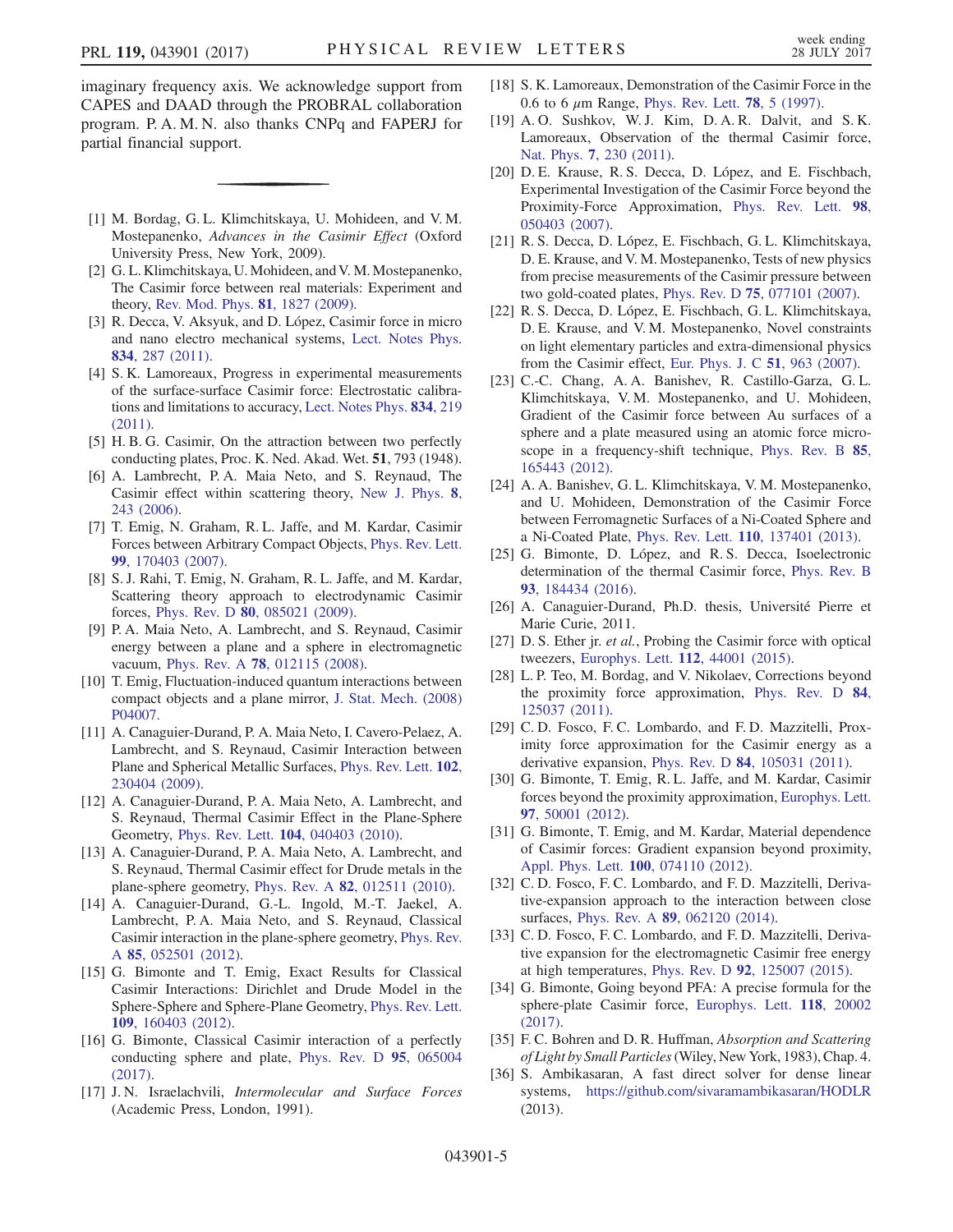imaginary frequency axis. We acknowledge support from CAPES and DAAD through the PROBRAL collaboration program. P. A. M. N. also thanks CNPq and FAPERJ for partial financial support.

- <span id="page-4-0"></span>[1] M. Bordag, G. L. Klimchitskaya, U. Mohideen, and V. M. Mostepanenko, Advances in the Casimir Effect (Oxford University Press, New York, 2009).
- [2] G. L. Klimchitskaya, U. Mohideen, and V. M. Mostepanenko, The Casimir force between real materials: Experiment and theory, [Rev. Mod. Phys.](https://doi.org/10.1103/RevModPhys.81.1827) 81, 1827 (2009).
- [3] R. Decca, V. Aksyuk, and D. López, Casimir force in micro and nano electro mechanical systems, [Lect. Notes Phys.](https://doi.org/10.1007/978-3-642-20288-9_9) 834[, 287 \(2011\)](https://doi.org/10.1007/978-3-642-20288-9_9).
- [4] S. K. Lamoreaux, Progress in experimental measurements of the surface-surface Casimir force: Electrostatic calibrations and limitations to accuracy, [Lect. Notes Phys.](https://doi.org/10.1007/978-3-642-20288-9_7) 834, 219 [\(2011\).](https://doi.org/10.1007/978-3-642-20288-9_7)
- <span id="page-4-2"></span><span id="page-4-1"></span>[5] H. B. G. Casimir, On the attraction between two perfectly conducting plates, Proc. K. Ned. Akad. Wet. 51, 793 (1948).
- [6] A. Lambrecht, P. A. Maia Neto, and S. Reynaud, The Casimir effect within scattering theory, [New J. Phys.](https://doi.org/10.1088/1367-2630/8/10/243) 8, [243 \(2006\)](https://doi.org/10.1088/1367-2630/8/10/243).
- [7] T. Emig, N. Graham, R. L. Jaffe, and M. Kardar, Casimir Forces between Arbitrary Compact Objects, [Phys. Rev. Lett.](https://doi.org/10.1103/PhysRevLett.99.170403) 99[, 170403 \(2007\).](https://doi.org/10.1103/PhysRevLett.99.170403)
- [8] S. J. Rahi, T. Emig, N. Graham, R. L. Jaffe, and M. Kardar, Scattering theory approach to electrodynamic Casimir forces, Phys. Rev. D 80[, 085021 \(2009\)](https://doi.org/10.1103/PhysRevD.80.085021).
- <span id="page-4-3"></span>[9] P. A. Maia Neto, A. Lambrecht, and S. Reynaud, Casimir energy between a plane and a sphere in electromagnetic vacuum, Phys. Rev. A 78[, 012115 \(2008\).](https://doi.org/10.1103/PhysRevA.78.012115)
- [10] T. Emig, Fluctuation-induced quantum interactions between compact objects and a plane mirror, [J. Stat. Mech. \(2008\)](https://doi.org/10.1088/1742-5468/2008/04/P04007) [P04007.](https://doi.org/10.1088/1742-5468/2008/04/P04007)
- <span id="page-4-4"></span>[11] A. Canaguier-Durand, P. A. Maia Neto, I. Cavero-Pelaez, A. Lambrecht, and S. Reynaud, Casimir Interaction between Plane and Spherical Metallic Surfaces, [Phys. Rev. Lett.](https://doi.org/10.1103/PhysRevLett.102.230404) 102, [230404 \(2009\).](https://doi.org/10.1103/PhysRevLett.102.230404)
- <span id="page-4-5"></span>[12] A. Canaguier-Durand, P. A. Maia Neto, A. Lambrecht, and S. Reynaud, Thermal Casimir Effect in the Plane-Sphere Geometry, Phys. Rev. Lett. 104[, 040403 \(2010\).](https://doi.org/10.1103/PhysRevLett.104.040403)
- [13] A. Canaguier-Durand, P. A. Maia Neto, A. Lambrecht, and S. Reynaud, Thermal Casimir effect for Drude metals in the plane-sphere geometry, Phys. Rev. A 82[, 012511 \(2010\)](https://doi.org/10.1103/PhysRevA.82.012511).
- <span id="page-4-6"></span>[14] A. Canaguier-Durand, G.-L. Ingold, M.-T. Jaekel, A. Lambrecht, P. A. Maia Neto, and S. Reynaud, Classical Casimir interaction in the plane-sphere geometry, [Phys. Rev.](https://doi.org/10.1103/PhysRevA.85.052501) A 85[, 052501 \(2012\)](https://doi.org/10.1103/PhysRevA.85.052501).
- <span id="page-4-18"></span>[15] G. Bimonte and T. Emig, Exact Results for Classical Casimir Interactions: Dirichlet and Drude Model in the Sphere-Sphere and Sphere-Plane Geometry, [Phys. Rev. Lett.](https://doi.org/10.1103/PhysRevLett.109.160403) 109[, 160403 \(2012\).](https://doi.org/10.1103/PhysRevLett.109.160403)
- [16] G. Bimonte, Classical Casimir interaction of a perfectly conducting sphere and plate, [Phys. Rev. D](https://doi.org/10.1103/PhysRevD.95.065004) 95, 065004 [\(2017\).](https://doi.org/10.1103/PhysRevD.95.065004)
- <span id="page-4-7"></span>[17] J.N. Israelachvili, Intermolecular and Surface Forces (Academic Press, London, 1991).
- <span id="page-4-8"></span>[18] S. K. Lamoreaux, Demonstration of the Casimir Force in the 0.6 to 6  $\mu$ m Range, [Phys. Rev. Lett.](https://doi.org/10.1103/PhysRevLett.78.5) **78**, 5 (1997).
- <span id="page-4-24"></span>[19] A. O. Sushkov, W. J. Kim, D. A. R. Dalvit, and S. K. Lamoreaux, Observation of the thermal Casimir force, Nat. Phys. 7[, 230 \(2011\)](https://doi.org/10.1038/nphys1909).
- <span id="page-4-9"></span>[20] D. E. Krause, R. S. Decca, D. López, and E. Fischbach, Experimental Investigation of the Casimir Force beyond the Proximity-Force Approximation, [Phys. Rev. Lett.](https://doi.org/10.1103/PhysRevLett.98.050403) 98, [050403 \(2007\).](https://doi.org/10.1103/PhysRevLett.98.050403)
- <span id="page-4-23"></span>[21] R. S. Decca, D. López, E. Fischbach, G. L. Klimchitskaya, D. E. Krause, and V. M. Mostepanenko, Tests of new physics from precise measurements of the Casimir pressure between two gold-coated plates, Phys. Rev. D 75[, 077101 \(2007\).](https://doi.org/10.1103/PhysRevD.75.077101)
- [22] R. S. Decca, D. López, E. Fischbach, G. L. Klimchitskaya, D. E. Krause, and V. M. Mostepanenko, Novel constraints on light elementary particles and extra-dimensional physics from the Casimir effect, [Eur. Phys. J. C](https://doi.org/10.1140/epjc/s10052-007-0346-z) 51, 963 (2007).
- <span id="page-4-25"></span>[23] C.-C. Chang, A. A. Banishev, R. Castillo-Garza, G. L. Klimchitskaya, V. M. Mostepanenko, and U. Mohideen, Gradient of the Casimir force between Au surfaces of a sphere and a plate measured using an atomic force microscope in a frequency-shift technique, [Phys. Rev. B](https://doi.org/10.1103/PhysRevB.85.165443) 85, [165443 \(2012\).](https://doi.org/10.1103/PhysRevB.85.165443)
- <span id="page-4-12"></span>[24] A. A. Banishev, G. L. Klimchitskaya, V. M. Mostepanenko, and U. Mohideen, Demonstration of the Casimir Force between Ferromagnetic Surfaces of a Ni-Coated Sphere and a Ni-Coated Plate, Phys. Rev. Lett. 110[, 137401 \(2013\)](https://doi.org/10.1103/PhysRevLett.110.137401).
- <span id="page-4-13"></span>[25] G. Bimonte, D. López, and R. S. Decca, Isoelectronic determination of the thermal Casimir force, [Phys. Rev. B](https://doi.org/10.1103/PhysRevB.93.184434) 93[, 184434 \(2016\).](https://doi.org/10.1103/PhysRevB.93.184434)
- <span id="page-4-10"></span>[26] A. Canaguier-Durand, Ph.D. thesis, Université Pierre et Marie Curie, 2011.
- <span id="page-4-11"></span>[27] D. S. Ether jr. *et al.*, Probing the Casimir force with optical tweezers, [Europhys. Lett.](https://doi.org/10.1209/0295-5075/112/44001) 112, 44001 (2015).
- <span id="page-4-14"></span>[28] L. P. Teo, M. Bordag, and V. Nikolaev, Corrections beyond the proximity force approximation, [Phys. Rev. D](https://doi.org/10.1103/PhysRevD.84.125037) 84, [125037 \(2011\).](https://doi.org/10.1103/PhysRevD.84.125037)
- <span id="page-4-15"></span>[29] C. D. Fosco, F. C. Lombardo, and F. D. Mazzitelli, Proximity force approximation for the Casimir energy as a derivative expansion, Phys. Rev. D 84[, 105031 \(2011\).](https://doi.org/10.1103/PhysRevD.84.105031)
- [30] G. Bimonte, T. Emig, R. L. Jaffe, and M. Kardar, Casimir forces beyond the proximity approximation, [Europhys. Lett.](https://doi.org/10.1209/0295-5075/97/50001) 97[, 50001 \(2012\)](https://doi.org/10.1209/0295-5075/97/50001).
- <span id="page-4-22"></span>[31] G. Bimonte, T. Emig, and M. Kardar, Material dependence of Casimir forces: Gradient expansion beyond proximity, [Appl. Phys. Lett.](https://doi.org/10.1063/1.3686903) 100, 074110 (2012).
- <span id="page-4-16"></span>[32] C. D. Fosco, F. C. Lombardo, and F. D. Mazzitelli, Derivative-expansion approach to the interaction between close surfaces, Phys. Rev. A 89[, 062120 \(2014\).](https://doi.org/10.1103/PhysRevA.89.062120)
- <span id="page-4-17"></span>[33] C. D. Fosco, F. C. Lombardo, and F. D. Mazzitelli, Derivative expansion for the electromagnetic Casimir free energy at high temperatures, Phys. Rev. D 92[, 125007 \(2015\).](https://doi.org/10.1103/PhysRevD.92.125007)
- <span id="page-4-19"></span>[34] G. Bimonte, Going beyond PFA: A precise formula for the sphere-plate Casimir force, [Europhys. Lett.](https://doi.org/10.1209/0295-5075/118/20002) 118, 20002 [\(2017\).](https://doi.org/10.1209/0295-5075/118/20002)
- <span id="page-4-21"></span><span id="page-4-20"></span>[35] F. C. Bohren and D. R. Huffman, *Absorption and Scattering* of Light by Small Particles(Wiley, New York, 1983), Chap. 4.
- [36] S. Ambikasaran, A fast direct solver for dense linear systems, <https://github.com/sivaramambikasaran/HODLR> (2013).